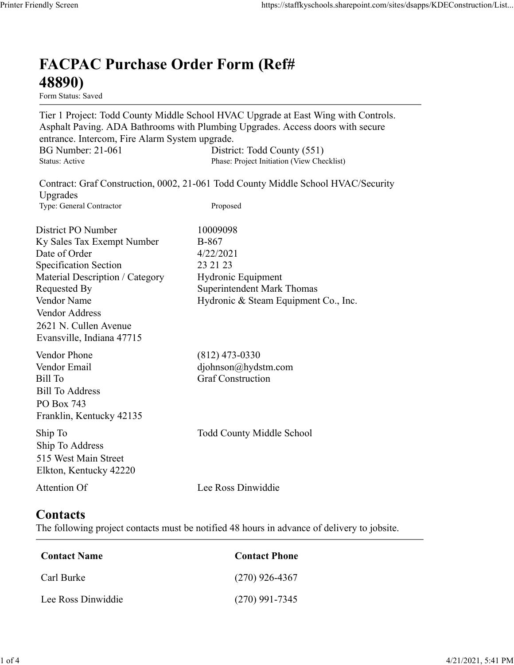## FACPAC Purchase Order Form (Ref# 48890)

Tier 1 Project: Todd County Middle School HVAC Upgrade at East Wing with Controls. Asphalt Paving. ADA Bathrooms with Plumbing Upgrades. Access doors with secure entrance. Intercom, Fire Alarm System upgrade. https://staffkyschools.sharepoint.com/sites/dsapps/KDEConstructic<br> **FACPAC Purchase Order Form (Ref#**<br>
H8890)<br>
Form Status: Saved<br>
Tier 1 Project: Todd County Middle School HVAC Upgrade at East Wing with Controls.<br>
Asphalt https://staffkyschools.sharepoint.com/sites/dsapps/KDEConstructic<br> **FACPAC Purchase Order Form (Ref#**<br>
Form Status: Saved<br>
Tier 1 Project: Todd County Middle School HVAC Upgrade at East Wing with Controls.<br>
Asphalt Paving. May Screen<br>
Intps://staffkyschools.sharepoint.com/sites/dsarps/KDFConstructic<br>
Term Status: Saved<br>
Form Status: Saved<br>
Form Status: Saved<br>
Form Status: Saved<br>
Term Project: Todd County Middle School HVAC Upgrade at East Wi

| <b>FACPAC Purchase Order Form (Ref#</b><br>48890)                                                                                                                                                                                           |                                                                                                                                                                                                                                                   |
|---------------------------------------------------------------------------------------------------------------------------------------------------------------------------------------------------------------------------------------------|---------------------------------------------------------------------------------------------------------------------------------------------------------------------------------------------------------------------------------------------------|
| Form Status: Saved                                                                                                                                                                                                                          |                                                                                                                                                                                                                                                   |
| entrance. Intercom, Fire Alarm System upgrade.<br><b>BG Number: 21-061</b><br>Status: Active                                                                                                                                                | Tier 1 Project: Todd County Middle School HVAC Upgrade at East Wing with Controls.<br>Asphalt Paving. ADA Bathrooms with Plumbing Upgrades. Access doors with secure<br>District: Todd County (551)<br>Phase: Project Initiation (View Checklist) |
|                                                                                                                                                                                                                                             | Contract: Graf Construction, 0002, 21-061 Todd County Middle School HVAC/Security                                                                                                                                                                 |
| Upgrades<br>Type: General Contractor                                                                                                                                                                                                        | Proposed                                                                                                                                                                                                                                          |
| District PO Number<br>Ky Sales Tax Exempt Number<br>Date of Order<br><b>Specification Section</b><br>Material Description / Category<br>Requested By<br>Vendor Name<br>Vendor Address<br>2621 N. Cullen Avenue<br>Evansville, Indiana 47715 | 10009098<br><b>B-867</b><br>4/22/2021<br>23 21 23<br>Hydronic Equipment<br><b>Superintendent Mark Thomas</b><br>Hydronic & Steam Equipment Co., Inc.                                                                                              |
| Vendor Phone<br>Vendor Email<br><b>Bill To</b><br><b>Bill To Address</b><br>PO Box 743<br>Franklin, Kentucky 42135                                                                                                                          | $(812)$ 473-0330<br>djohnson@hydstm.com<br><b>Graf Construction</b>                                                                                                                                                                               |
| Ship To<br>Ship To Address<br>515 West Main Street<br>Elkton, Kentucky 42220                                                                                                                                                                | <b>Todd County Middle School</b>                                                                                                                                                                                                                  |
| Attention Of                                                                                                                                                                                                                                | Lee Ross Dinwiddie                                                                                                                                                                                                                                |
| <b>Contacts</b>                                                                                                                                                                                                                             | The following project contacts must be notified 48 hours in advance of delivery to jobsite.                                                                                                                                                       |
| <b>Contact Name</b>                                                                                                                                                                                                                         | <b>Contact Phone</b>                                                                                                                                                                                                                              |
| Carl Burke                                                                                                                                                                                                                                  | $(270)$ 926-4367                                                                                                                                                                                                                                  |
| Lee Ross Dinwiddie                                                                                                                                                                                                                          | $(270)$ 991-7345                                                                                                                                                                                                                                  |

## **Contacts**

| Contact Name       | <b>Contact Phone</b> |
|--------------------|----------------------|
| Carl Burke         | $(270)$ 926-4367     |
| Lee Ross Dinwiddie | $(270)$ 991-7345     |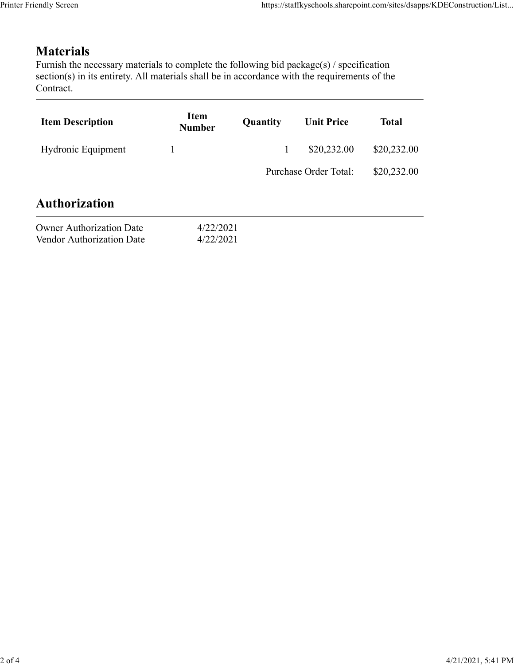## **Materials**

| endly Screen                                                                                                                                                                                                               |                              |              | https://staffkyschools.sharepoint.com/sites/dsapps/KDEConstruction/List |              |
|----------------------------------------------------------------------------------------------------------------------------------------------------------------------------------------------------------------------------|------------------------------|--------------|-------------------------------------------------------------------------|--------------|
|                                                                                                                                                                                                                            |                              |              |                                                                         |              |
| <b>Materials</b><br>Furnish the necessary materials to complete the following bid package(s) / specification<br>section(s) in its entirety. All materials shall be in accordance with the requirements of the<br>Contract. |                              |              |                                                                         |              |
| <b>Item Description</b>                                                                                                                                                                                                    | <b>Item</b><br><b>Number</b> | Quantity     | <b>Unit Price</b>                                                       | <b>Total</b> |
| Hydronic Equipment                                                                                                                                                                                                         | $\mathbf{1}$                 | $\mathbf{1}$ | \$20,232.00                                                             | \$20,232.00  |
|                                                                                                                                                                                                                            |                              |              | Purchase Order Total:                                                   | \$20,232.00  |
| <b>Authorization</b>                                                                                                                                                                                                       |                              |              |                                                                         |              |
| <b>Owner Authorization Date</b>                                                                                                                                                                                            | 4/22/2021<br>4/22/2021       |              |                                                                         |              |
| Vendor Authorization Date                                                                                                                                                                                                  |                              |              |                                                                         |              |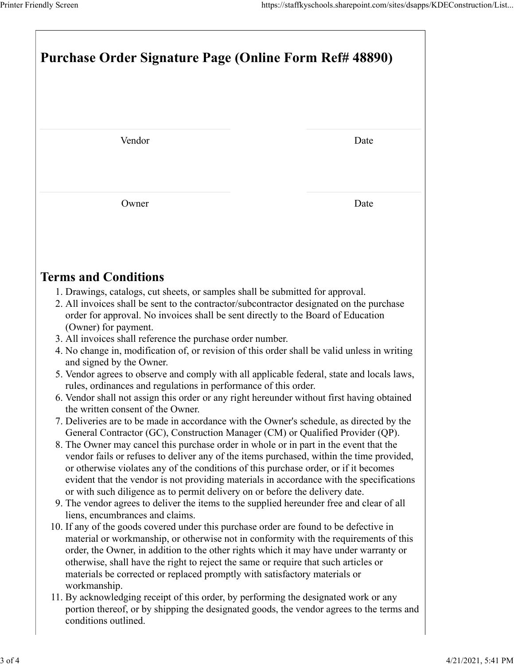| Printer Friendly Screen                                                                                                                                                                                                                                                                                                                                                                                                                               | https://staffkyschools.sharepoint.com/sites/dsapps/KDEConstruction/List |
|-------------------------------------------------------------------------------------------------------------------------------------------------------------------------------------------------------------------------------------------------------------------------------------------------------------------------------------------------------------------------------------------------------------------------------------------------------|-------------------------------------------------------------------------|
| <b>Purchase Order Signature Page (Online Form Ref# 48890)</b>                                                                                                                                                                                                                                                                                                                                                                                         |                                                                         |
|                                                                                                                                                                                                                                                                                                                                                                                                                                                       |                                                                         |
| Vendor                                                                                                                                                                                                                                                                                                                                                                                                                                                | Date                                                                    |
| Owner                                                                                                                                                                                                                                                                                                                                                                                                                                                 | Date                                                                    |
| <b>Terms and Conditions</b>                                                                                                                                                                                                                                                                                                                                                                                                                           |                                                                         |
| 1. Drawings, catalogs, cut sheets, or samples shall be submitted for approval.<br>2. All invoices shall be sent to the contractor/subcontractor designated on the purchase<br>order for approval. No invoices shall be sent directly to the Board of Education<br>(Owner) for payment.<br>3. All invoices shall reference the purchase order number.                                                                                                  |                                                                         |
| 4. No change in, modification of, or revision of this order shall be valid unless in writing<br>and signed by the Owner.<br>5. Vendor agrees to observe and comply with all applicable federal, state and locals laws,                                                                                                                                                                                                                                |                                                                         |
| rules, ordinances and regulations in performance of this order.<br>6. Vendor shall not assign this order or any right hereunder without first having obtained<br>the written consent of the Owner.<br>7. Deliveries are to be made in accordance with the Owner's schedule, as directed by the<br>General Contractor (GC), Construction Manager (CM) or Qualified Provider (QP).                                                                      |                                                                         |
| 8. The Owner may cancel this purchase order in whole or in part in the event that the<br>vendor fails or refuses to deliver any of the items purchased, within the time provided,<br>or otherwise violates any of the conditions of this purchase order, or if it becomes<br>evident that the vendor is not providing materials in accordance with the specifications<br>or with such diligence as to permit delivery on or before the delivery date. |                                                                         |
| 9. The vendor agrees to deliver the items to the supplied hereunder free and clear of all<br>liens, encumbrances and claims.<br>10. If any of the goods covered under this purchase order are found to be defective in<br>material or workmanship, or otherwise not in conformity with the requirements of this<br>order, the Owner, in addition to the other rights which it may have under warranty or                                              |                                                                         |
| otherwise, shall have the right to reject the same or require that such articles or                                                                                                                                                                                                                                                                                                                                                                   |                                                                         |